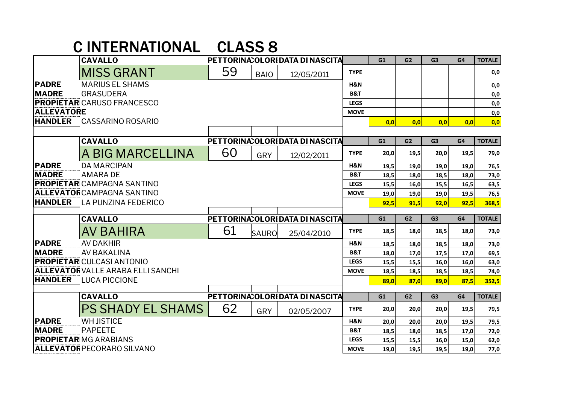|                                   | <b>CINTERNATIONAL</b>                     | <b>CLASS 8</b> |              |                                  |                |      |                |                |      |               |
|-----------------------------------|-------------------------------------------|----------------|--------------|----------------------------------|----------------|------|----------------|----------------|------|---------------|
|                                   | <b>CAVALLO</b>                            |                |              | PETTORINA: OLORI DATA DI NASCITA |                | G1   | G2             | G <sub>3</sub> | G4   | <b>TOTALE</b> |
|                                   | <b>MISS GRANT</b>                         | 59             | <b>BAIO</b>  | 12/05/2011                       | <b>TYPE</b>    |      |                |                |      | 0,0           |
| <b>PADRE</b>                      | <b>MARIUS EL SHAMS</b>                    |                |              |                                  | H&N            |      |                |                |      | 0,0           |
| <b>MADRE</b>                      | <b>GRASUDERA</b>                          |                |              |                                  | <b>B&amp;T</b> |      |                |                |      | 0,0           |
| <b>PROPIETAR</b> CARUSO FRANCESCO |                                           |                |              | <b>LEGS</b>                      |                |      |                |                | 0,0  |               |
| <b>ALLEVATORE</b>                 |                                           |                |              |                                  | <b>MOVE</b>    |      |                |                |      | 0,0           |
| <b>HANDLER</b>                    | <b>CASSARINO ROSARIO</b>                  |                |              |                                  |                | 0.0  | 0.0            | 0.0            | 0,0  | 0,0           |
|                                   |                                           |                |              |                                  |                |      |                |                |      |               |
|                                   | <b>CAVALLO</b>                            |                |              | PETTORINA: OLORI DATA DI NASCITA |                | G1   | G <sub>2</sub> | G <sub>3</sub> | G4   | <b>TOTALE</b> |
|                                   | A BIG MARCELLINA                          | 60             | GRY          | 12/02/2011                       | <b>TYPE</b>    | 20,0 | 19,5           | 20,0           | 19,5 | 79,0          |
| <b>PADRE</b>                      | <b>DA MARCIPAN</b>                        |                |              |                                  | H&N            | 19,5 | 19,0           | 19,0           | 19,0 | 76,5          |
| <b>MADRE</b>                      | <b>AMARA DE</b>                           |                |              |                                  | <b>B&amp;T</b> | 18,5 | 18,0           | 18,5           | 18,0 | 73,0          |
|                                   | <b>PROPIETAR</b> CAMPAGNA SANTINO         |                |              |                                  | <b>LEGS</b>    | 15,5 | 16,0           | 15,5           | 16,5 | 63,5          |
|                                   | <b>ALLEVATOR</b> CAMPAGNA SANTINO         |                |              |                                  | <b>MOVE</b>    | 19,0 | 19,0           | 19,0           | 19,5 | 76,5          |
| <b>HANDLER</b>                    | <b>LA PUNZINA FEDERICO</b>                |                |              |                                  |                | 92,5 | 91,5           | 92,0           | 92,5 | 368,5         |
|                                   | <b>CAVALLO</b>                            |                |              | PETTORINA: OLORIDATA DI NASCITA  |                | G1   | G <sub>2</sub> | G <sub>3</sub> | G4   | <b>TOTALE</b> |
|                                   | AV BAHIRA                                 | 61             | <b>SAURO</b> | 25/04/2010                       | <b>TYPE</b>    | 18,5 | 18,0           | 18,5           | 18,0 | 73,0          |
| <b>PADRE</b>                      | <b>AV DAKHIR</b>                          |                |              |                                  | H&N            | 18,5 | 18,0           | 18,5           | 18,0 | 73,0          |
| <b>MADRE</b>                      | <b>AV BAKALINA</b>                        |                |              |                                  | <b>B&amp;T</b> | 18.0 | 17.0           | 17,5           | 17,0 | 69,5          |
|                                   | <b>PROPIETAR CULCASI ANTONIO</b>          |                |              |                                  | <b>LEGS</b>    | 15,5 | 15,5           | 16,0           | 16,0 | 63,0          |
|                                   | <b>ALLEVATOR VALLE ARABA F.LLI SANCHI</b> |                |              |                                  | <b>MOVE</b>    | 18,5 | 18,5           | 18,5           | 18,5 | 74,0          |
| <b>HANDLER</b>                    | <b>LUCA PICCIONE</b>                      |                |              |                                  |                | 89,0 | 87,0           | 89,0           | 87,5 | 352,5         |
|                                   | PETTORINA: OLORI DATA DI NASCITA          |                | G1           | G2                               | G <sub>3</sub> | G4   | <b>TOTALE</b>  |                |      |               |
|                                   | <b>PS SHADY EL SHAMS</b>                  | 62             | GRY          | 02/05/2007                       | <b>TYPE</b>    | 20,0 | 20,0           | 20,0           | 19,5 | 79,5          |
| <b>PADRE</b>                      | <b>WH JISTICE</b>                         |                |              |                                  | H&N            | 20,0 | 20,0           | 20,0           | 19,5 | 79,5          |
| <b>MADRE</b>                      | <b>PAPEETE</b>                            |                |              |                                  | <b>B&amp;T</b> | 18,5 | 18,0           | 18,5           | 17,0 | 72,0          |
| <b>PROPIETARIMG ARABIANS</b>      |                                           |                |              |                                  | <b>LEGS</b>    | 15,5 | 15,5           | 16,0           | 15,0 | 62,0          |
| <b>ALLEVATORPECORARO SILVANO</b>  |                                           |                |              |                                  | <b>MOVE</b>    | 19,0 | 19,5           | 19,5           | 19,0 | 77,0          |